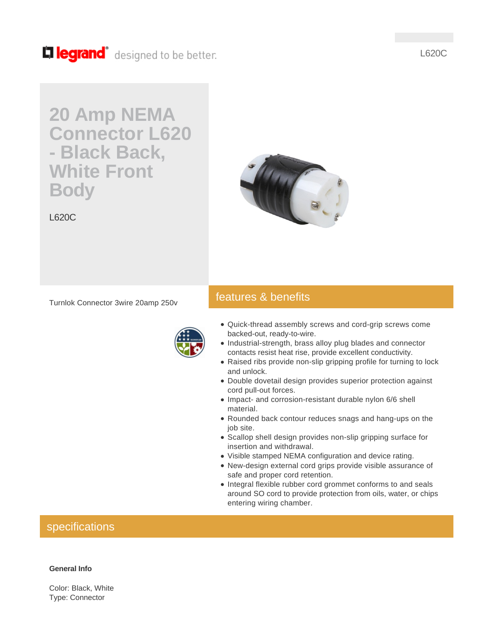Lillegrand<sup>®</sup> designed to be better.

# L620C

# **20 Amp NEMA Connector L620 - Black Back, White Front Body**





features & benefits

## Turnlok Connector 3wire 20amp 250v



- Quick-thread assembly screws and cord-grip screws come backed-out, ready-to-wire.
- Industrial-strength, brass alloy plug blades and connector contacts resist heat rise, provide excellent conductivity.
- Raised ribs provide non-slip gripping profile for turning to lock and unlock.
- Double dovetail design provides superior protection against cord pull-out forces.
- Impact- and corrosion-resistant durable nylon 6/6 shell material.
- Rounded back contour reduces snags and hang-ups on the job site.
- Scallop shell design provides non-slip gripping surface for insertion and withdrawal.
- Visible stamped NEMA configuration and device rating.
- New-design external cord grips provide visible assurance of safe and proper cord retention.
- Integral flexible rubber cord grommet conforms to and seals around SO cord to provide protection from oils, water, or chips entering wiring chamber.

# specifications

#### **General Info**

Color: Black, White Type: Connector